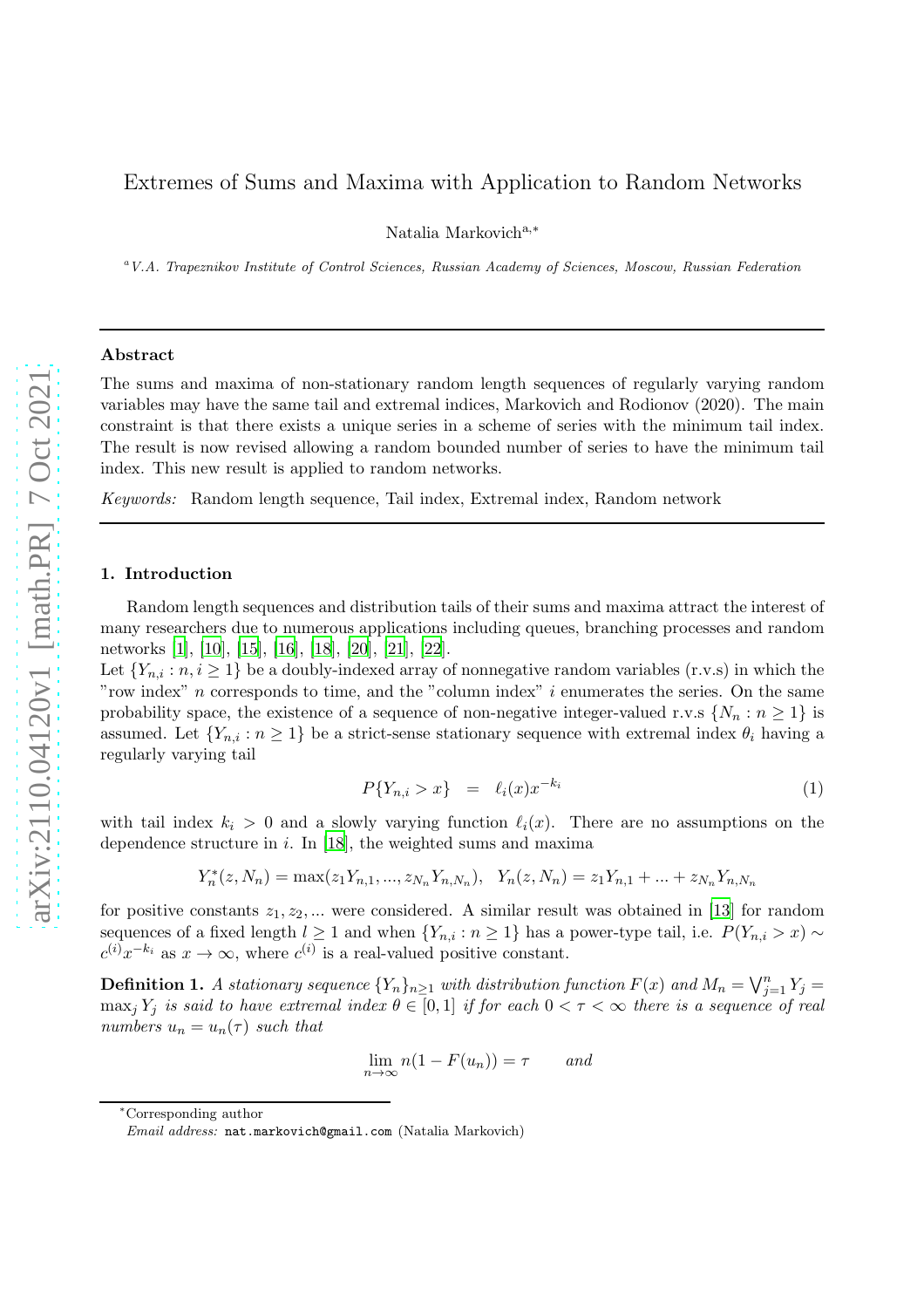# Extremes of Sums and Maxima with Application to Random Networks

Natalia Markovich<sup>a,∗</sup>

<sup>a</sup>*V.A. Trapeznikov Institute of Control Sciences, Russian Academy of Sciences, Moscow, Russian Federation*

#### Abstract

The sums and maxima of non-stationary random length sequences of regularly varying random variables may have the same tail and extremal indices, Markovich and Rodionov (2020). The main constraint is that there exists a unique series in a scheme of series with the minimum tail index. The result is now revised allowing a random bounded number of series to have the minimum tail index. This new result is applied to random networks.

Keywords: Random length sequence, Tail index, Extremal index, Random network

### 1. Introduction

Random length sequences and distribution tails of their sums and maxima attract the interest of many researchers due to numerous applications including queues, branching processes and random networks [\[1\]](#page-12-0), [\[10](#page-12-1)], [\[15](#page-12-2)], [\[16\]](#page-12-3), [\[18](#page-12-4)], [\[20](#page-12-5)], [\[21\]](#page-12-6), [\[22](#page-12-7)].

Let  ${Y_{n,i} : n, i \geq 1}$  be a doubly-indexed array of nonnegative random variables (r.v.s) in which the "row index"  $n$  corresponds to time, and the "column index"  $i$  enumerates the series. On the same probability space, the existence of a sequence of non-negative integer-valued r.v.s  $\{N_n : n \geq 1\}$  is assumed. Let  $\{Y_{n,i} : n \geq 1\}$  be a strict-sense stationary sequence with extremal index  $\theta_i$  having a regularly varying tail

<span id="page-0-0"></span>
$$
P\{Y_{n,i} > x\} = \ell_i(x)x^{-k_i} \tag{1}
$$

with tail index  $k_i > 0$  and a slowly varying function  $\ell_i(x)$ . There are no assumptions on the dependence structure in  $i$ . In [\[18\]](#page-12-4), the weighted sums and maxima

$$
Y_n^*(z, N_n) = \max(z_1 Y_{n,1}, \dots, z_{N_n} Y_{n,N_n}), \quad Y_n(z, N_n) = z_1 Y_{n,1} + \dots + z_{N_n} Y_{n,N_n}
$$

for positive constants  $z_1, z_2, ...$  were considered. A similar result was obtained in [\[13](#page-12-8)] for random sequences of a fixed length  $l \geq 1$  and when  $\{Y_{n,i} : n \geq 1\}$  has a power-type tail, i.e.  $P(Y_{n,i} > x) \sim$  $c^{(i)}x^{-k_i}$  as  $x \to \infty$ , where  $c^{(i)}$  is a real-valued positive constant.

**Definition 1.** A stationary sequence  ${Y_n}_{n \geq 1}$  with distribution function  $F(x)$  and  $M_n = \bigvee_{j=1}^n Y_j =$  $\max_j Y_j$  is said to have extremal index  $\theta \in [0,1]$  if for each  $0 < \tau < \infty$  there is a sequence of real numbers  $u_n = u_n(\tau)$  such that

$$
\lim_{n \to \infty} n(1 - F(u_n)) = \tau \qquad and
$$

<sup>∗</sup>Corresponding author

*Email address:* nat.markovich@gmail.com (Natalia Markovich)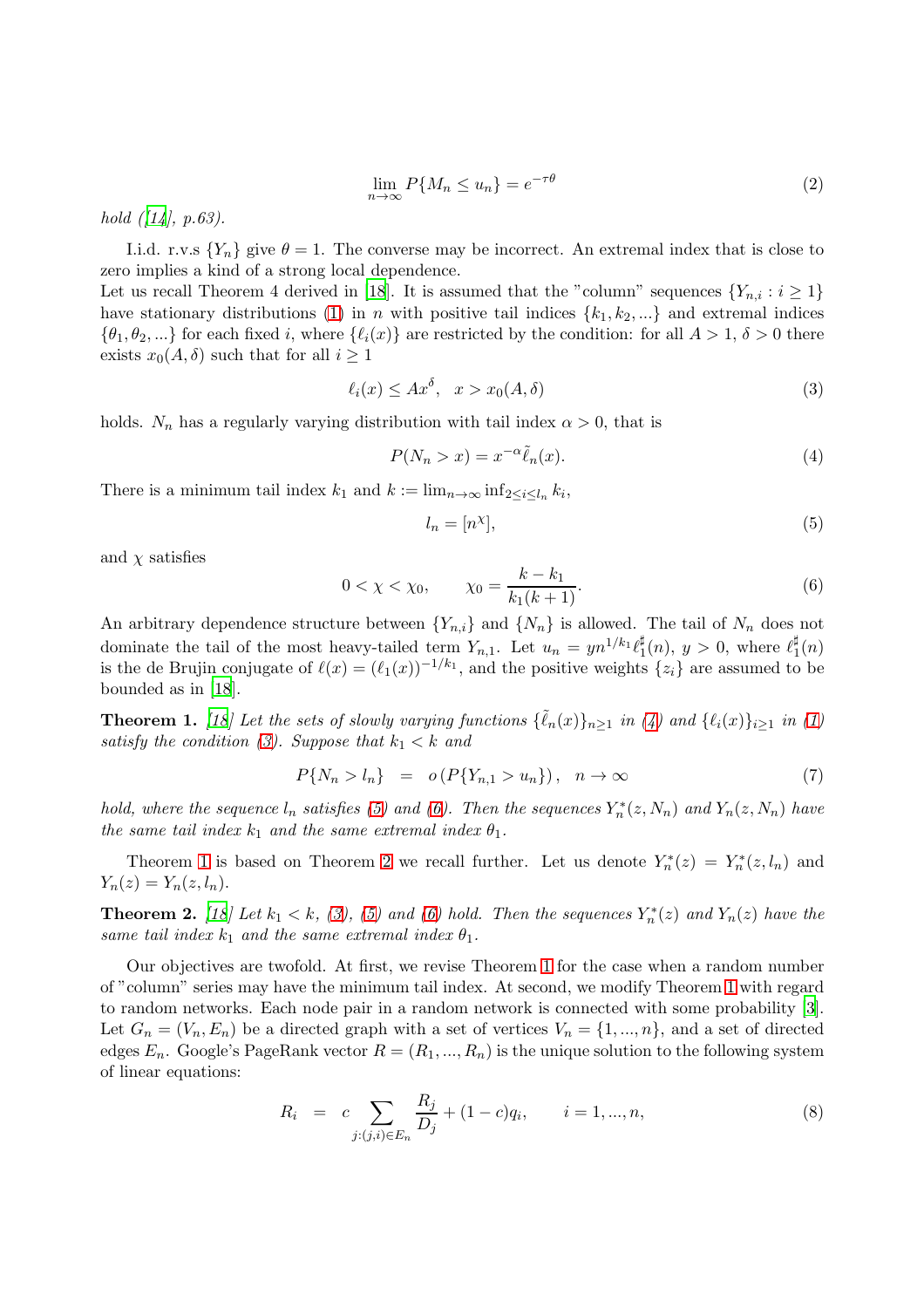<span id="page-1-8"></span>
$$
\lim_{n \to \infty} P\{M_n \le u_n\} = e^{-\tau \theta} \tag{2}
$$

hold  $([14], p.63)$  $([14], p.63)$  $([14], p.63)$ .

I.i.d. r.v.s  ${Y_n}$  give  $\theta = 1$ . The converse may be incorrect. An extremal index that is close to zero implies a kind of a strong local dependence.

Let us recall Theorem 4 derived in [\[18](#page-12-4)]. It is assumed that the "column" sequences  $\{Y_{n,i} : i \geq 1\}$ have stationary distributions [\(1\)](#page-0-0) in n with positive tail indices  $\{k_1, k_2, ...\}$  and extremal indices  $\{\theta_1, \theta_2, ...\}$  for each fixed i, where  $\{\ell_i(x)\}\$ are restricted by the condition: for all  $A > 1, \delta > 0$  there exists  $x_0(A, \delta)$  such that for all  $i \geq 1$ 

<span id="page-1-1"></span>
$$
\ell_i(x) \le Ax^{\delta}, \quad x > x_0(A, \delta) \tag{3}
$$

holds.  $N_n$  has a regularly varying distribution with tail index  $\alpha > 0$ , that is

<span id="page-1-0"></span>
$$
P(N_n > x) = x^{-\alpha} \tilde{\ell}_n(x). \tag{4}
$$

There is a minimum tail index  $k_1$  and  $k := \lim_{n \to \infty} \inf_{2 \le i \le l_n} k_i$ ,

<span id="page-1-2"></span>
$$
l_n = [n^\chi],\tag{5}
$$

and  $\chi$  satisfies

<span id="page-1-3"></span>
$$
0 < \chi < \chi_0, \qquad \chi_0 = \frac{k - k_1}{k_1(k + 1)}.\tag{6}
$$

An arbitrary dependence structure between  ${Y_{n,i}}$  and  ${N_n}$  is allowed. The tail of  $N_n$  does not dominate the tail of the most heavy-tailed term  $Y_{n,1}$ . Let  $u_n = yn^{1/k_1} \ell_1^{\sharp}$  $j_1^{\sharp}(n)$ ,  $y > 0$ , where  $\ell_1^{\sharp}$  $\frac{1}{1}(n)$ is the de Brujin conjugate of  $\ell(x) = (\ell_1(x))^{-1/k_1}$ , and the positive weights  $\{z_i\}$  are assumed to be bounded as in [\[18](#page-12-4)].

<span id="page-1-4"></span>**Theorem 1.** [\[18\]](#page-12-4) Let the sets of slowly varying functions  $\{\tilde{\ell}_n(x)\}_{n\geq 1}$  in [\(4\)](#page-1-0) and  $\{\ell_i(x)\}_{i\geq 1}$  in [\(1\)](#page-0-0) satisfy the condition [\(3\)](#page-1-1). Suppose that  $k_1 < k$  and

<span id="page-1-7"></span>
$$
P\{N_n > l_n\} = o\left(P\{Y_{n,1} > u_n\}\right), \quad n \to \infty \tag{7}
$$

hold, where the sequence  $l_n$  satisfies [\(5\)](#page-1-2) and [\(6\)](#page-1-3). Then the sequences  $Y_n^*(z, N_n)$  and  $Y_n(z, N_n)$  have the same tail index  $k_1$  and the same extremal index  $\theta_1$ .

Theorem [1](#page-1-4) is based on Theorem [2](#page-1-5) we recall further. Let us denote  $Y_n^*(z) = Y_n^*(z, l_n)$  and  $Y_n(z) = Y_n(z, l_n).$ 

<span id="page-1-5"></span>**Theorem 2.** [\[18](#page-12-4)] Let  $k_1 < k$ , [\(3\)](#page-1-1), [\(5\)](#page-1-2) and [\(6\)](#page-1-3) hold. Then the sequences  $Y_n^*(z)$  and  $Y_n(z)$  have the same tail index  $k_1$  and the same extremal index  $\theta_1$ .

Our objectives are twofold. At first, we revise Theorem [1](#page-1-4) for the case when a random number of "column" series may have the minimum tail index. At second, we modify Theorem [1](#page-1-4) with regard to random networks. Each node pair in a random network is connected with some probability [\[3\]](#page-12-10). Let  $G_n = (V_n, E_n)$  be a directed graph with a set of vertices  $V_n = \{1, ..., n\}$ , and a set of directed edges  $E_n$ . Google's PageRank vector  $R = (R_1, ..., R_n)$  is the unique solution to the following system of linear equations:

<span id="page-1-6"></span>
$$
R_i = c \sum_{j:(j,i)\in E_n} \frac{R_j}{D_j} + (1-c)q_i, \qquad i = 1,...,n,
$$
\n(8)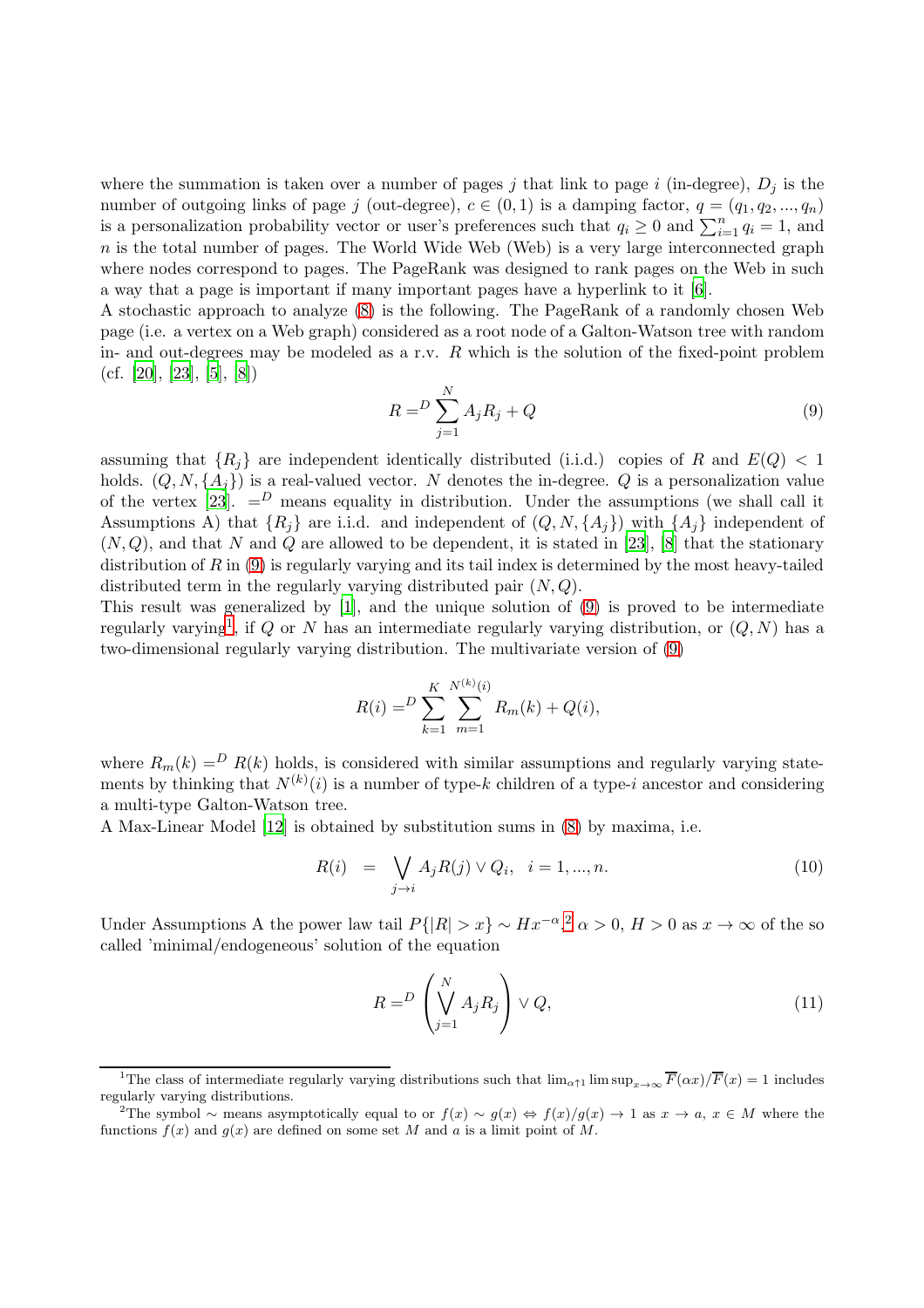where the summation is taken over a number of pages j that link to page i (in-degree),  $D_i$  is the number of outgoing links of page j (out-degree),  $c \in (0,1)$  is a damping factor,  $q = (q_1, q_2, ..., q_n)$ is a personalization probability vector or user's preferences such that  $q_i \geq 0$  and  $\sum_{i=1}^n q_i = 1$ , and  $n$  is the total number of pages. The World Wide Web (Web) is a very large interconnected graph where nodes correspond to pages. The PageRank was designed to rank pages on the Web in such a way that a page is important if many important pages have a hyperlink to it [\[6\]](#page-12-11).

A stochastic approach to analyze [\(8\)](#page-1-6) is the following. The PageRank of a randomly chosen Web page (i.e. a vertex on a Web graph) considered as a root node of a Galton-Watson tree with random in- and out-degrees may be modeled as a r.v.  $R$  which is the solution of the fixed-point problem  $(cf. [20], [23], [5], [8])$  $(cf. [20], [23], [5], [8])$  $(cf. [20], [23], [5], [8])$  $(cf. [20], [23], [5], [8])$  $(cf. [20], [23], [5], [8])$  $(cf. [20], [23], [5], [8])$  $(cf. [20], [23], [5], [8])$  $(cf. [20], [23], [5], [8])$  $(cf. [20], [23], [5], [8])$ 

<span id="page-2-0"></span>
$$
R = \sum_{j=1}^{N} A_j R_j + Q \tag{9}
$$

assuming that  ${R_i}$  are independent identically distributed (i.i.d.) copies of R and  $E(Q) < 1$ holds.  $(Q, N, \{A_i\})$  is a real-valued vector. N denotes the in-degree. Q is a personalization value of the vertex [\[23\]](#page-12-12).  $=$ <sup>D</sup> means equality in distribution. Under the assumptions (we shall call it Assumptions A) that  $\{R_i\}$  are i.i.d. and independent of  $(Q, N, \{A_i\})$  with  $\{A_i\}$  independent of  $(N, Q)$ , and that N and Q are allowed to be dependent, it is stated in [\[23](#page-12-12)], [\[8\]](#page-12-14) that the stationary distribution of  $R$  in  $(9)$  is regularly varying and its tail index is determined by the most heavy-tailed distributed term in the regularly varying distributed pair  $(N, Q)$ .

This result was generalized by [\[1\]](#page-12-0), and the unique solution of [\(9\)](#page-2-0) is proved to be intermediate regularly varying<sup>[1](#page-2-1)</sup>, if Q or N has an intermediate regularly varying distribution, or  $(Q, N)$  has a two-dimensional regularly varying distribution. The multivariate version of [\(9\)](#page-2-0)

$$
R(i) = \sum_{k=1}^{K} \sum_{m=1}^{N^{(k)}(i)} R_m(k) + Q(i),
$$

where  $R_m(k) = R(k)$  holds, is considered with similar assumptions and regularly varying statements by thinking that  $N^{(k)}(i)$  is a number of type-k children of a type-i ancestor and considering a multi-type Galton-Watson tree.

A Max-Linear Model [\[12](#page-12-15)] is obtained by substitution sums in [\(8\)](#page-1-6) by maxima, i.e.

<span id="page-2-4"></span>
$$
R(i) = \bigvee_{j \to i} A_j R(j) \vee Q_i, \quad i = 1, ..., n. \tag{10}
$$

Under Assumptions A the power law tail  $P\{|R| > x\} \sim Hx^{-\alpha},^2 \alpha > 0, H > 0$  $P\{|R| > x\} \sim Hx^{-\alpha},^2 \alpha > 0, H > 0$  $P\{|R| > x\} \sim Hx^{-\alpha},^2 \alpha > 0, H > 0$  as  $x \to \infty$  of the so called 'minimal/endogeneous' solution of the equation

<span id="page-2-3"></span>
$$
R = D \left( \bigvee_{j=1}^{N} A_j R_j \right) \vee Q, \tag{11}
$$

<sup>&</sup>lt;sup>1</sup>The class of intermediate regularly varying distributions such that  $\lim_{\alpha \uparrow 1} \limsup_{x \to \infty} \overline{F}(\alpha x)/\overline{F}(x) = 1$  includes regularly varying distributions.

<span id="page-2-2"></span><span id="page-2-1"></span><sup>&</sup>lt;sup>2</sup>The symbol ~ means asymptotically equal to or  $f(x) \sim g(x) \Leftrightarrow f(x)/g(x) \to 1$  as  $x \to a, x \in M$  where the functions  $f(x)$  and  $g(x)$  are defined on some set M and a is a limit point of M.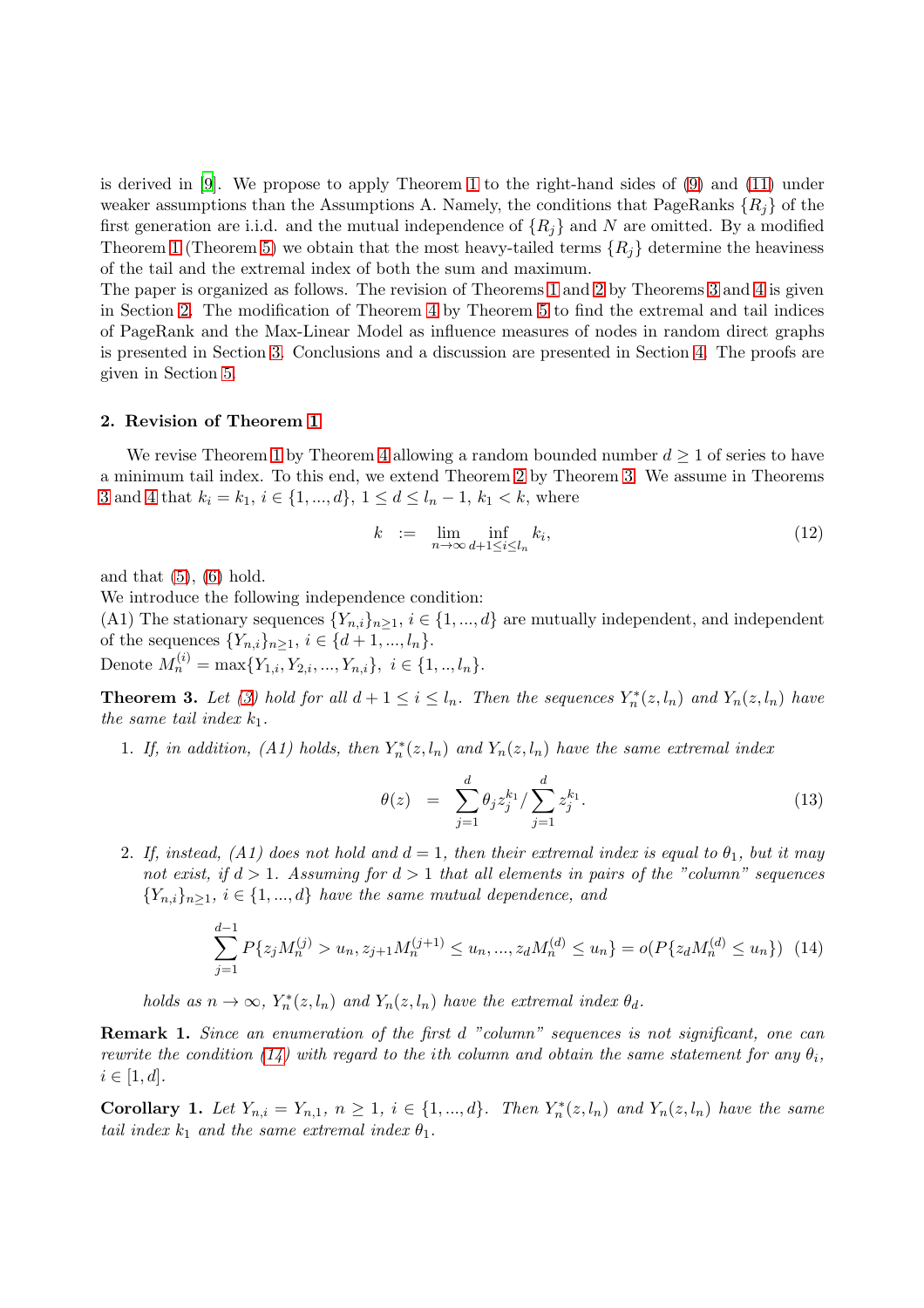is derived in [\[9\]](#page-12-16). We propose to apply Theorem [1](#page-1-4) to the right-hand sides of [\(9\)](#page-2-0) and [\(11\)](#page-2-3) under weaker assumptions than the Assumptions A. Namely, the conditions that PageRanks  $\{R_i\}$  of the first generation are i.i.d. and the mutual independence of  $\{R_i\}$  and N are omitted. By a modified Theorem [1](#page-1-4) (Theorem [5\)](#page-6-0) we obtain that the most heavy-tailed terms  $\{R_i\}$  determine the heaviness of the tail and the extremal index of both the sum and maximum.

The paper is organized as follows. The revision of Theorems [1](#page-1-4) and [2](#page-1-5) by Theorems [3](#page-3-0) and [4](#page-4-0) is given in Section [2.](#page-3-1) The modification of Theorem [4](#page-4-0) by Theorem [5](#page-6-0) to find the extremal and tail indices of PageRank and the Max-Linear Model as influence measures of nodes in random direct graphs is presented in Section [3.](#page-4-1) Conclusions and a discussion are presented in Section [4.](#page-7-0) The proofs are given in Section [5.](#page-7-1)

### <span id="page-3-1"></span>2. Revision of Theorem [1](#page-1-4)

We revise Theorem [1](#page-1-4) by Theorem [4](#page-4-0) allowing a random bounded number  $d \geq 1$  of series to have a minimum tail index. To this end, we extend Theorem [2](#page-1-5) by Theorem [3.](#page-3-0) We assume in Theorems [3](#page-3-0) and [4](#page-4-0) that  $k_i = k_1, i \in \{1, ..., d\}, 1 \leq d \leq l_n - 1, k_1 < k$ , where

$$
k := \lim_{n \to \infty} \inf_{d+1 \le i \le l_n} k_i,
$$
\n(12)

and that  $(5)$ ,  $(6)$  hold.

We introduce the following independence condition:

(A1) The stationary sequences  ${Y_{n,i}}_{n>1}$ ,  $i \in {1,...,d}$  are mutually independent, and independent of the sequences  $\{Y_{n,i}\}_{n\geq 1}, i \in \{d+1, ..., l_n\}.$ 

Denote  $M_n^{(i)} = \max\{Y_{1,i}, Y_{2,i}, ..., Y_{n,i}\}, i \in \{1, ..., l_n\}.$ 

<span id="page-3-0"></span>**Theorem 3.** Let [\(3\)](#page-1-1) hold for all  $d + 1 \leq i \leq l_n$ . Then the sequences  $Y_n^*(z, l_n)$  and  $Y_n(z, l_n)$  have the same tail index  $k_1$ .

1. If, in addition, (A1) holds, then  $Y_n^*(z, l_n)$  and  $Y_n(z, l_n)$  have the same extremal index

<span id="page-3-3"></span>
$$
\theta(z) = \sum_{j=1}^{d} \theta_j z_j^{k_1} / \sum_{j=1}^{d} z_j^{k_1}.
$$
\n(13)

2. If, instead, (A1) does not hold and  $d = 1$ , then their extremal index is equal to  $\theta_1$ , but it may not exist, if  $d > 1$ . Assuming for  $d > 1$  that all elements in pairs of the "column" sequences  ${Y_{n,i}}_{n>1}$ ,  $i \in \{1,...,d\}$  have the same mutual dependence, and

<span id="page-3-2"></span>
$$
\sum_{j=1}^{d-1} P\{z_j M_n^{(j)} > u_n, z_{j+1} M_n^{(j+1)} \le u_n, \dots, z_d M_n^{(d)} \le u_n\} = o(P\{z_d M_n^{(d)} \le u_n\}) \tag{14}
$$

holds as  $n \to \infty$ ,  $Y_n^*(z, l_n)$  and  $Y_n(z, l_n)$  have the extremal index  $\theta_d$ .

Remark 1. Since an enumeration of the first d "column" sequences is not significant, one can rewrite the condition [\(14\)](#page-3-2) with regard to the ith column and obtain the same statement for any  $\theta_i$ ,  $i \in [1, d].$ 

<span id="page-3-4"></span>**Corollary 1.** Let  $Y_{n,i} = Y_{n,1}, n \geq 1, i \in \{1, ..., d\}$ . Then  $Y_n^*(z, l_n)$  and  $Y_n(z, l_n)$  have the same tail index  $k_1$  and the same extremal index  $\theta_1$ .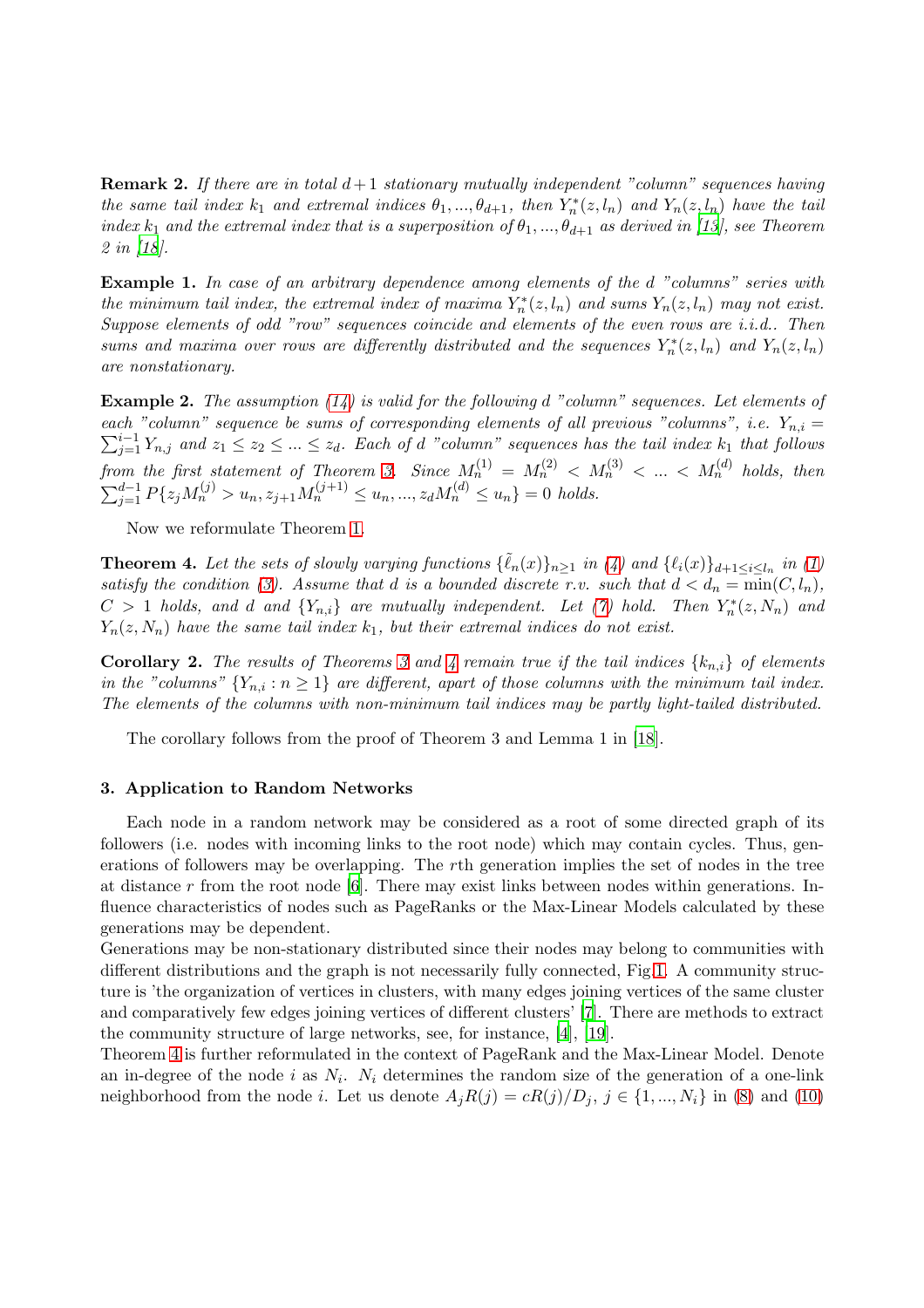**Remark 2.** If there are in total  $d+1$  stationary mutually independent "column" sequences having the same tail index  $k_1$  and extremal indices  $\theta_1, ..., \theta_{d+1}$ , then  $Y_n^*(z, l_n)$  and  $Y_n(z, l_n)$  have the tail index  $k_1$  and the extremal index that is a superposition of  $\theta_1, ..., \theta_{d+1}$  as derived in [\[13](#page-12-8)], see Theorem 2 in [\[18\]](#page-12-4).

<span id="page-4-3"></span>Example 1. In case of an arbitrary dependence among elements of the d "columns" series with the minimum tail index, the extremal index of maxima  $Y_n^*(z, l_n)$  and sums  $Y_n(z, l_n)$  may not exist. Suppose elements of odd "row" sequences coincide and elements of the even rows are i.i.d.. Then sums and maxima over rows are differently distributed and the sequences  $Y_n^*(z, l_n)$  and  $Y_n(z, l_n)$ are nonstationary.

**Example 2.** The assumption  $(14)$  is valid for the following d "column" sequences. Let elements of  $\sum_{j=1}^{i-1} Y_{n,j}$  and  $z_1 \leq z_2 \leq ... \leq z_d$ . Each of d "column" sequences has the tail index  $k_1$  that follows each "column" sequence be sums of corresponding elements of all previous "columns", i.e.  $Y_{n,i} =$ from the first statement of Theorem [3.](#page-3-0) Since  $M_n^{(1)} = M_n^{(2)} < M_n^{(3)} < ... < M_n^{(d)}$  holds, then  $\sum_{j=1}^{d-1} P\{z_j M_n^{(j)} > u_n, z_{j+1} M_n^{(j+1)} \le u_n, ..., z_d M_n^{(d)} \le u_n\} = 0$  holds.

Now we reformulate Theorem [1.](#page-1-4)

<span id="page-4-0"></span>**Theorem 4.** Let the sets of slowly varying functions  $\{\tilde{\ell}_n(x)\}_{n\geq 1}$  in [\(4\)](#page-1-0) and  $\{\ell_i(x)\}_{d+1\leq i\leq l_n}$  in [\(1\)](#page-0-0) satisfy the condition [\(3\)](#page-1-1). Assume that d is a bounded discrete r.v. such that  $d < d_n = \min(C, l_n)$ ,  $C > 1$  holds, and d and  ${Y_{n,i}}$  are mutually independent. Let [\(7\)](#page-1-7) hold. Then  $Y_n^*(z, N_n)$  and  $Y_n(z, N_n)$  have the same tail index  $k_1$ , but their extremal indices do not exist.

<span id="page-4-2"></span>**Corollary 2.** The results of Theorems [3](#page-3-0) and [4](#page-4-0) remain true if the tail indices  $\{k_{n,i}\}\$  of elements in the "columns"  ${Y_{n,i} : n \ge 1}$  are different, apart of those columns with the minimum tail index. The elements of the columns with non-minimum tail indices may be partly light-tailed distributed.

The corollary follows from the proof of Theorem 3 and Lemma 1 in [\[18](#page-12-4)].

# <span id="page-4-1"></span>3. Application to Random Networks

Each node in a random network may be considered as a root of some directed graph of its followers (i.e. nodes with incoming links to the root node) which may contain cycles. Thus, generations of followers may be overlapping. The rth generation implies the set of nodes in the tree at distance  $r$  from the root node [\[6](#page-12-11)]. There may exist links between nodes within generations. Influence characteristics of nodes such as PageRanks or the Max-Linear Models calculated by these generations may be dependent.

Generations may be non-stationary distributed since their nodes may belong to communities with different distributions and the graph is not necessarily fully connected, Fig[.1.](#page-5-0) A community structure is 'the organization of vertices in clusters, with many edges joining vertices of the same cluster and comparatively few edges joining vertices of different clusters' [\[7\]](#page-12-17). There are methods to extract the community structure of large networks, see, for instance, [\[4](#page-12-18)], [\[19\]](#page-12-19).

Theorem [4](#page-4-0) is further reformulated in the context of PageRank and the Max-Linear Model. Denote an in-degree of the node i as  $N_i$ .  $N_i$  determines the random size of the generation of a one-link neighborhood from the node *i*. Let us denote  $A_iR(j) = cR(j)/D_i$ ,  $j \in \{1, ..., N_i\}$  in [\(8\)](#page-1-6) and [\(10\)](#page-2-4)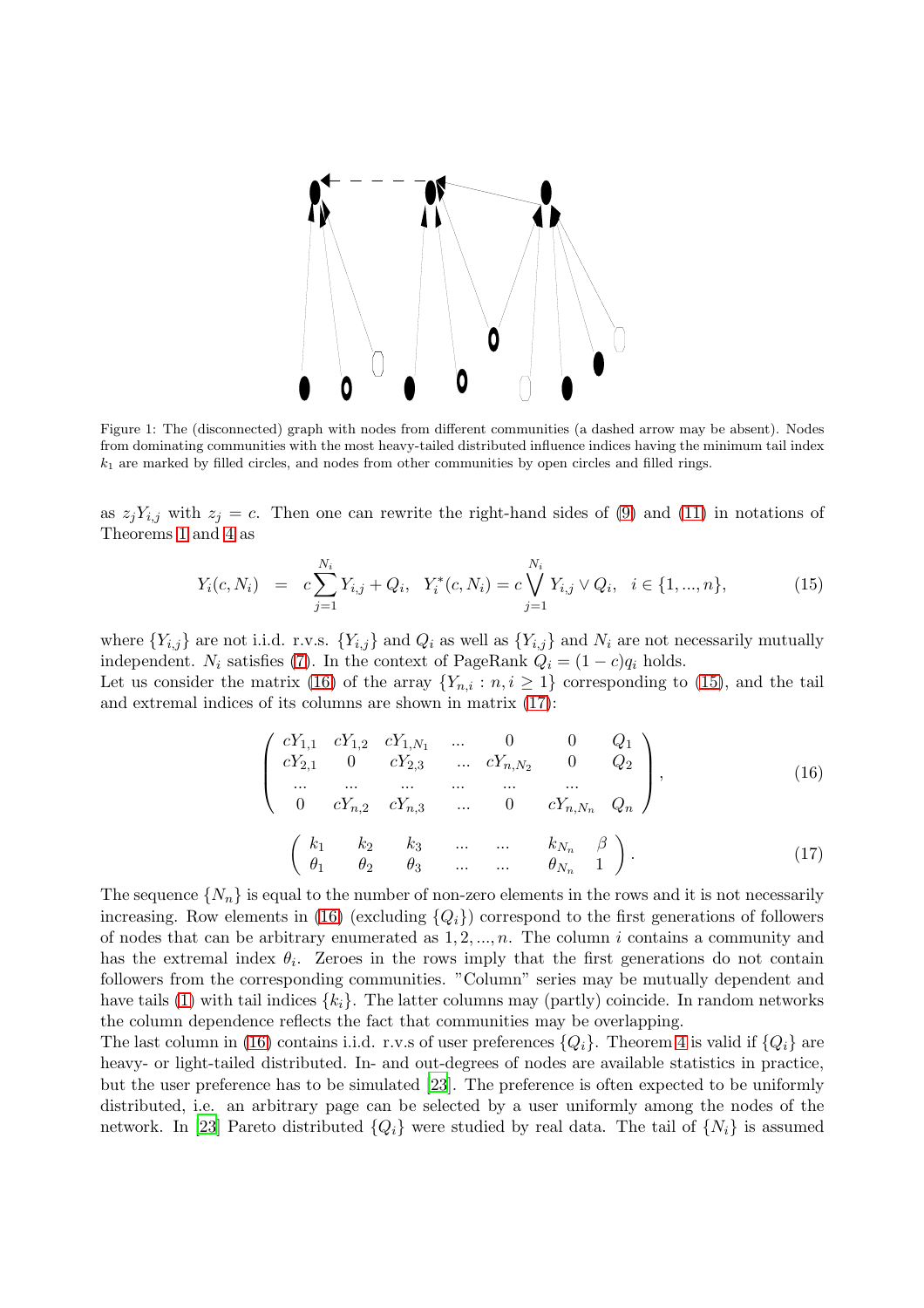

<span id="page-5-0"></span>Figure 1: The (disconnected) graph with nodes from different communities (a dashed arrow may be absent). Nodes from dominating communities with the most heavy-tailed distributed influence indices having the minimum tail index  $k_1$  are marked by filled circles, and nodes from other communities by open circles and filled rings.

as  $z_jY_{i,j}$  with  $z_j = c$ . Then one can rewrite the right-hand sides of [\(9\)](#page-2-0) and [\(11\)](#page-2-3) in notations of Theorems [1](#page-1-4) and [4](#page-4-0) as

<span id="page-5-2"></span>
$$
Y_i(c, N_i) = c \sum_{j=1}^{N_i} Y_{i,j} + Q_i, \quad Y_i^*(c, N_i) = c \bigvee_{j=1}^{N_i} Y_{i,j} \vee Q_i, \quad i \in \{1, ..., n\},
$$
\n(15)

where  $\{Y_{i,j}\}\$ are not i.i.d. r.v.s.  $\{Y_{i,j}\}\$  and  $Q_i$  as well as  $\{Y_{i,j}\}\$  and  $N_i$  are not necessarily mutually independent. N<sub>i</sub> satisfies [\(7\)](#page-1-7). In the context of PageRank  $Q_i = (1 - c)q_i$  holds.

Let us consider the matrix [\(16\)](#page-5-1) of the array  $\{Y_{n,i} : n, i \geq 1\}$  corresponding to [\(15\)](#page-5-2), and the tail and extremal indices of its columns are shown in matrix [\(17\)](#page-5-3):

<span id="page-5-3"></span><span id="page-5-1"></span>
$$
\begin{pmatrix}\n cY_{1,1} & cY_{1,2} & cY_{1,N_1} & \dots & 0 & 0 & Q_1 \\
cY_{2,1} & 0 & cY_{2,3} & \dots & cY_{n,N_2} & 0 & Q_2 \\
\dots & \dots & \dots & \dots & \dots & \dots \\
0 & cY_{n,2} & cY_{n,3} & \dots & 0 & cY_{n,N_n} & Q_n\n\end{pmatrix},
$$
\n
$$
\begin{pmatrix}\n k_1 & k_2 & k_3 & \dots & \dots & k_{N_n} & \beta \\
\theta_1 & \theta_2 & \theta_3 & \dots & \dots & \theta_{N_n} & 1\n\end{pmatrix}.
$$
\n(17)

The sequence  $\{N_n\}$  is equal to the number of non-zero elements in the rows and it is not necessarily increasing. Row elements in [\(16\)](#page-5-1) (excluding  ${Q_i}$ ) correspond to the first generations of followers of nodes that can be arbitrary enumerated as  $1, 2, ..., n$ . The column i contains a community and has the extremal index  $\theta_i$ . Zeroes in the rows imply that the first generations do not contain followers from the corresponding communities. "Column" series may be mutually dependent and have tails [\(1\)](#page-0-0) with tail indices  $\{k_i\}$ . The latter columns may (partly) coincide. In random networks the column dependence reflects the fact that communities may be overlapping.

The last column in [\(16\)](#page-5-1) contains i.i.d. r.v.s of user preferences  $\{Q_i\}$ . Theorem [4](#page-4-0) is valid if  $\{Q_i\}$  are heavy- or light-tailed distributed. In- and out-degrees of nodes are available statistics in practice, but the user preference has to be simulated [\[23](#page-12-12)]. The preference is often expected to be uniformly distributed, i.e. an arbitrary page can be selected by a user uniformly among the nodes of the network. In [\[23](#page-12-12)] Pareto distributed  ${Q_i}$  were studied by real data. The tail of  ${N_i}$  is assumed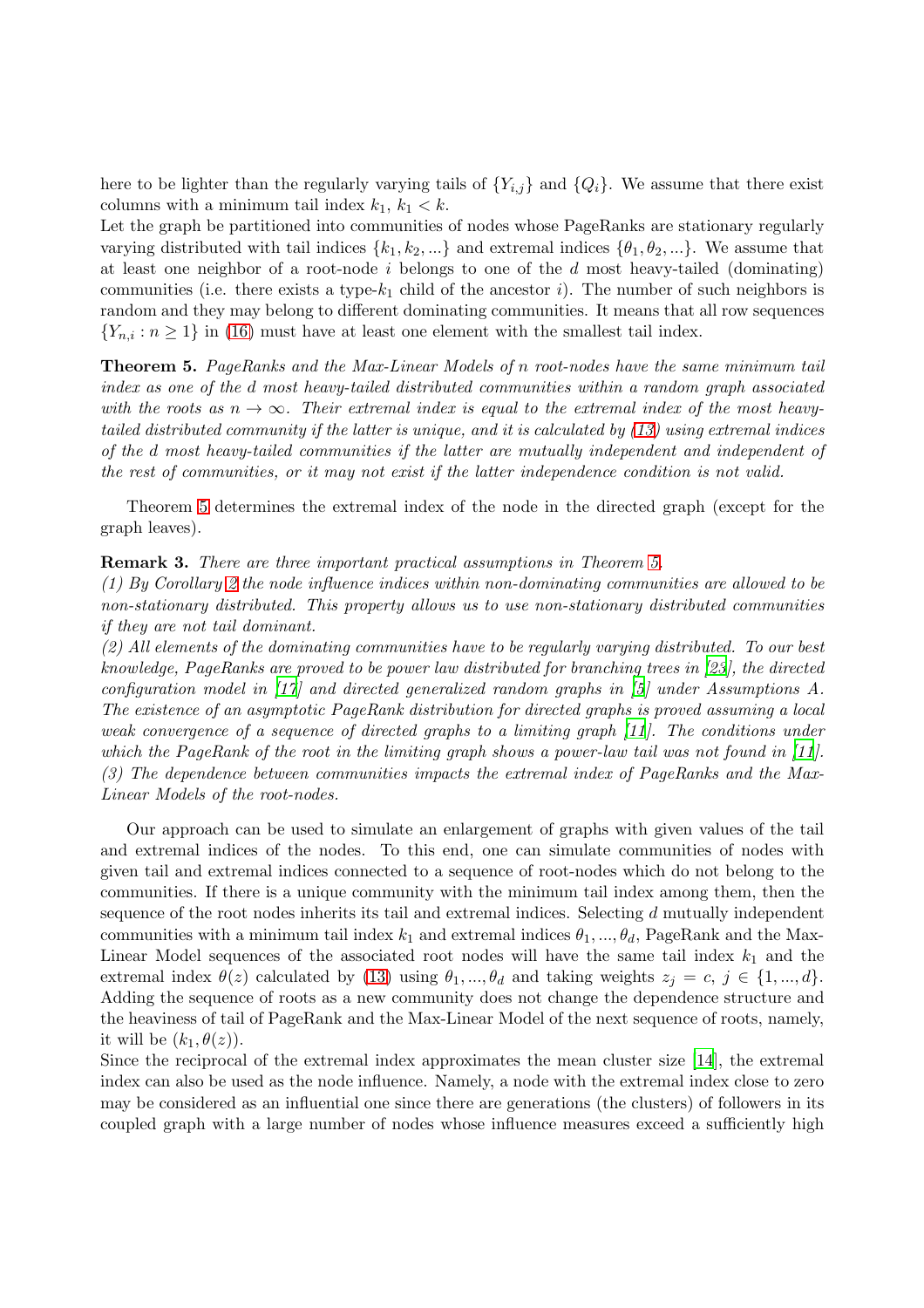here to be lighter than the regularly varying tails of  ${Y_{i,j}}$  and  ${Q_i}$ . We assume that there exist columns with a minimum tail index  $k_1, k_1 < k$ .

Let the graph be partitioned into communities of nodes whose PageRanks are stationary regularly varying distributed with tail indices  $\{k_1, k_2, ...\}$  and extremal indices  $\{\theta_1, \theta_2, ...\}$ . We assume that at least one neighbor of a root-node  $i$  belongs to one of the  $d$  most heavy-tailed (dominating) communities (i.e. there exists a type- $k_1$  child of the ancestor i). The number of such neighbors is random and they may belong to different dominating communities. It means that all row sequences  ${Y_{n,i} : n \ge 1}$  in [\(16\)](#page-5-1) must have at least one element with the smallest tail index.

<span id="page-6-0"></span>Theorem 5. PageRanks and the Max-Linear Models of n root-nodes have the same minimum tail index as one of the d most heavy-tailed distributed communities within a random graph associated with the roots as  $n \to \infty$ . Their extremal index is equal to the extremal index of the most heavytailed distributed community if the latter is unique, and it is calculated by [\(13\)](#page-3-3) using extremal indices of the d most heavy-tailed communities if the latter are mutually independent and independent of the rest of communities, or it may not exist if the latter independence condition is not valid.

Theorem [5](#page-6-0) determines the extremal index of the node in the directed graph (except for the graph leaves).

Remark 3. There are three important practical assumptions in Theorem [5.](#page-6-0)

(1) By Corollary [2](#page-4-2) the node influence indices within non-dominating communities are allowed to be non-stationary distributed. This property allows us to use non-stationary distributed communities if they are not tail dominant.

(2) All elements of the dominating communities have to be regularly varying distributed. To our best knowledge, PageRanks are proved to be power law distributed for branching trees in [\[23](#page-12-12)], the directed configuration model in [\[17\]](#page-12-20) and directed generalized random graphs in [\[5\]](#page-12-13) under Assumptions A. The existence of an asymptotic PageRank distribution for directed graphs is proved assuming a local weak convergence of a sequence of directed graphs to a limiting graph [\[11\]](#page-12-21). The conditions under which the PageRank of the root in the limiting graph shows a power-law tail was not found in [\[11](#page-12-21)]. (3) The dependence between communities impacts the extremal index of PageRanks and the Max-Linear Models of the root-nodes.

Our approach can be used to simulate an enlargement of graphs with given values of the tail and extremal indices of the nodes. To this end, one can simulate communities of nodes with given tail and extremal indices connected to a sequence of root-nodes which do not belong to the communities. If there is a unique community with the minimum tail index among them, then the sequence of the root nodes inherits its tail and extremal indices. Selecting d mutually independent communities with a minimum tail index  $k_1$  and extremal indices  $\theta_1, ..., \theta_d$ , PageRank and the Max-Linear Model sequences of the associated root nodes will have the same tail index  $k_1$  and the extremal index  $\theta(z)$  calculated by [\(13\)](#page-3-3) using  $\theta_1, ..., \theta_d$  and taking weights  $z_j = c, j \in \{1, ..., d\}$ . Adding the sequence of roots as a new community does not change the dependence structure and the heaviness of tail of PageRank and the Max-Linear Model of the next sequence of roots, namely, it will be  $(k_1, \theta(z))$ .

Since the reciprocal of the extremal index approximates the mean cluster size [\[14](#page-12-9)], the extremal index can also be used as the node influence. Namely, a node with the extremal index close to zero may be considered as an influential one since there are generations (the clusters) of followers in its coupled graph with a large number of nodes whose influence measures exceed a sufficiently high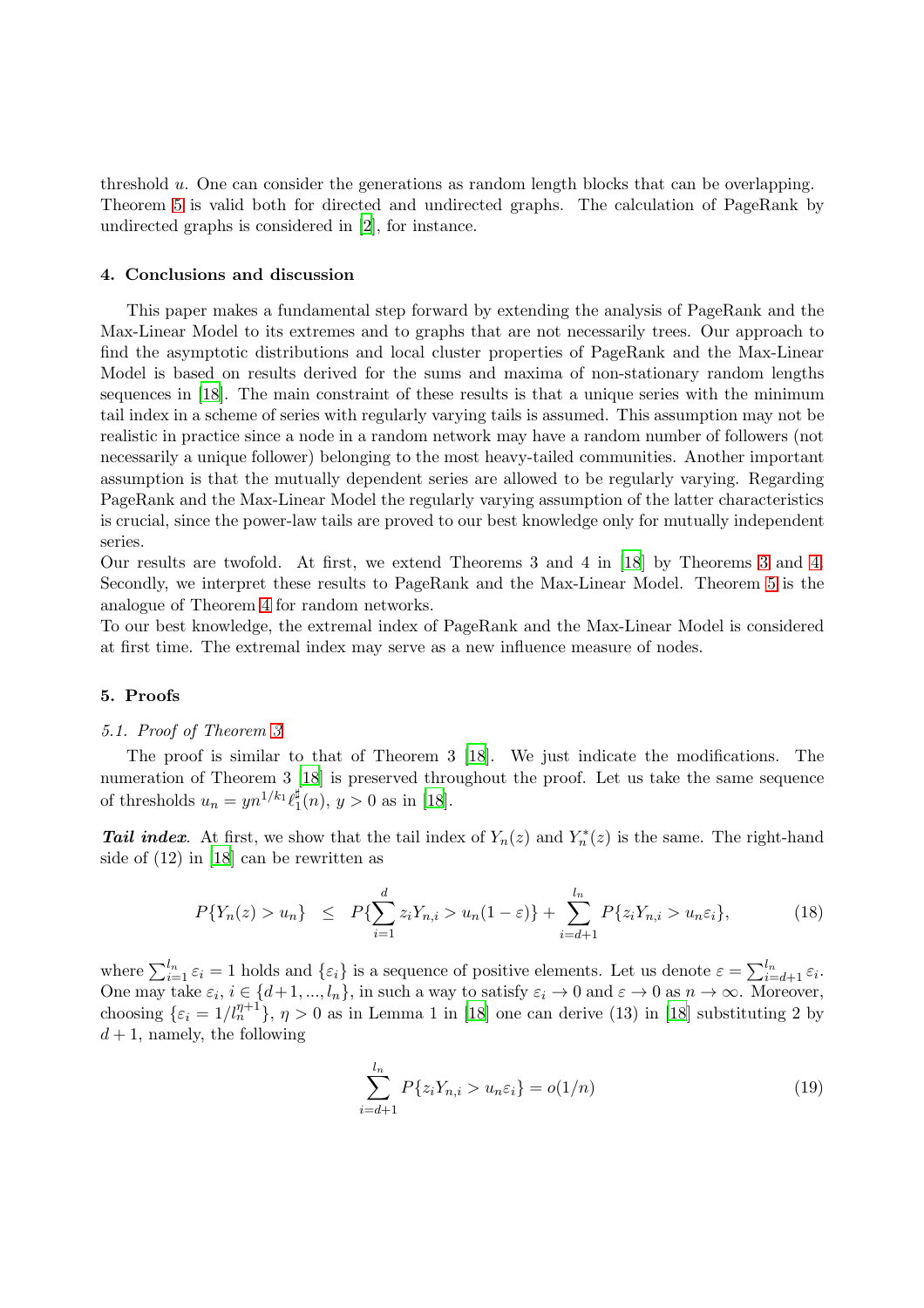threshold u. One can consider the generations as random length blocks that can be overlapping. Theorem [5](#page-6-0) is valid both for directed and undirected graphs. The calculation of PageRank by undirected graphs is considered in [\[2](#page-12-22)], for instance.

#### <span id="page-7-0"></span>4. Conclusions and discussion

This paper makes a fundamental step forward by extending the analysis of PageRank and the Max-Linear Model to its extremes and to graphs that are not necessarily trees. Our approach to find the asymptotic distributions and local cluster properties of PageRank and the Max-Linear Model is based on results derived for the sums and maxima of non-stationary random lengths sequences in [\[18](#page-12-4)]. The main constraint of these results is that a unique series with the minimum tail index in a scheme of series with regularly varying tails is assumed. This assumption may not be realistic in practice since a node in a random network may have a random number of followers (not necessarily a unique follower) belonging to the most heavy-tailed communities. Another important assumption is that the mutually dependent series are allowed to be regularly varying. Regarding PageRank and the Max-Linear Model the regularly varying assumption of the latter characteristics is crucial, since the power-law tails are proved to our best knowledge only for mutually independent series.

Our results are twofold. At first, we extend Theorems 3 and 4 in [\[18\]](#page-12-4) by Theorems [3](#page-3-0) and [4.](#page-4-0) Secondly, we interpret these results to PageRank and the Max-Linear Model. Theorem [5](#page-6-0) is the analogue of Theorem [4](#page-4-0) for random networks.

To our best knowledge, the extremal index of PageRank and the Max-Linear Model is considered at first time. The extremal index may serve as a new influence measure of nodes.

### <span id="page-7-1"></span>5. Proofs

#### 5.1. Proof of Theorem [3](#page-3-0)

The proof is similar to that of Theorem 3 [\[18\]](#page-12-4). We just indicate the modifications. The numeration of Theorem 3 [\[18\]](#page-12-4) is preserved throughout the proof. Let us take the same sequence of thresholds  $u_n = yn^{1/k_1} \ell_1^{\sharp}$  $j_1^{\mu}(n), y > 0$  as in [\[18\]](#page-12-4).

**Tail index.** At first, we show that the tail index of  $Y_n(z)$  and  $Y_n^*(z)$  is the same. The right-hand side of (12) in [\[18](#page-12-4)] can be rewritten as

<span id="page-7-2"></span>
$$
P\{Y_n(z) > u_n\} \le P\{\sum_{i=1}^d z_i Y_{n,i} > u_n(1-\varepsilon)\} + \sum_{i=d+1}^{l_n} P\{z_i Y_{n,i} > u_n \varepsilon_i\},\tag{18}
$$

where  $\sum_{i=1}^{l_n} \varepsilon_i = 1$  holds and  $\{\varepsilon_i\}$  is a sequence of positive elements. Let us denote  $\varepsilon = \sum_{i=d+1}^{l_n} \varepsilon_i$ . One may take  $\varepsilon_i$ ,  $i \in \{d+1, ..., l_n\}$ , in such a way to satisfy  $\varepsilon_i \to 0$  and  $\varepsilon \to 0$  as  $n \to \infty$ . Moreover, choosing  $\{\varepsilon_i = 1/l_n^{\eta+1}\}\$ ,  $\eta > 0$  as in Lemma 1 in [\[18](#page-12-4)] one can derive (13) in [18] substituting 2 by  $d+1$ , namely, the following

<span id="page-7-3"></span>
$$
\sum_{i=d+1}^{l_n} P\{z_i Y_{n,i} > u_n \varepsilon_i\} = o(1/n)
$$
\n(19)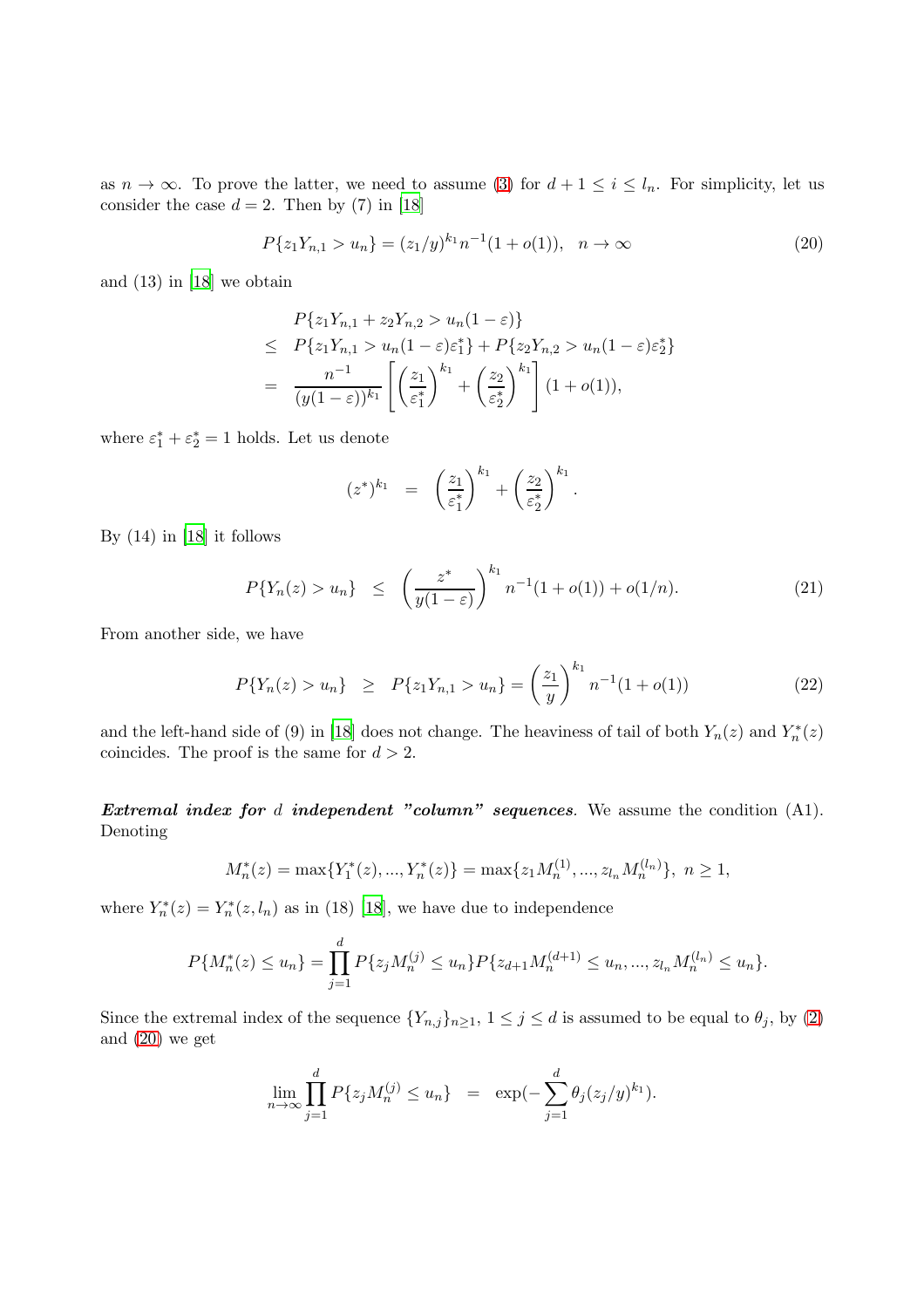as  $n \to \infty$ . To prove the latter, we need to assume [\(3\)](#page-1-1) for  $d+1 \leq i \leq l_n$ . For simplicity, let us consider the case  $d = 2$ . Then by (7) in [\[18](#page-12-4)]

<span id="page-8-0"></span>
$$
P\{z_1 Y_{n,1} > u_n\} = (z_1/y)^{k_1} n^{-1} (1 + o(1)), \quad n \to \infty
$$
\n(20)

and (13) in [\[18](#page-12-4)] we obtain

$$
P\{z_1Y_{n,1} + z_2Y_{n,2} > u_n(1-\varepsilon)\}\
$$
  
\n
$$
\leq P\{z_1Y_{n,1} > u_n(1-\varepsilon)\varepsilon_1^*\} + P\{z_2Y_{n,2} > u_n(1-\varepsilon)\varepsilon_2^*\}\
$$
  
\n
$$
= \frac{n^{-1}}{(y(1-\varepsilon))^{k_1}} \left[ \left(\frac{z_1}{\varepsilon_1^*}\right)^{k_1} + \left(\frac{z_2}{\varepsilon_2^*}\right)^{k_1} \right] (1+o(1)),
$$

where  $\varepsilon_1^* + \varepsilon_2^* = 1$  holds. Let us denote

$$
(z^*)^{k_1} = \left(\frac{z_1}{\varepsilon_1^*}\right)^{k_1} + \left(\frac{z_2}{\varepsilon_2^*}\right)^{k_1}.
$$

By (14) in [\[18](#page-12-4)] it follows

<span id="page-8-1"></span>
$$
P\{Y_n(z) > u_n\} \leq \left(\frac{z^*}{y(1-\varepsilon)}\right)^{k_1} n^{-1} (1+o(1)) + o(1/n). \tag{21}
$$

From another side, we have

<span id="page-8-2"></span>
$$
P\{Y_n(z) > u_n\} \geq P\{z_1 Y_{n,1} > u_n\} = \left(\frac{z_1}{y}\right)^{k_1} n^{-1} (1 + o(1)) \tag{22}
$$

and the left-hand side of (9) in [\[18](#page-12-4)] does not change. The heaviness of tail of both  $Y_n(z)$  and  $Y_n^*(z)$ coincides. The proof is the same for  $d > 2$ .

Extremal index for  $d$  independent "column" sequences. We assume the condition  $(A1)$ . Denoting

$$
M_n^*(z) = \max\{Y_1^*(z), ..., Y_n^*(z)\} = \max\{z_1 M_n^{(1)}, ..., z_{l_n} M_n^{(l_n)}\}, n \ge 1,
$$

where  $Y_n^*(z) = Y_n^*(z, l_n)$  as in (18) [\[18](#page-12-4)], we have due to independence

$$
P\{M_n^*(z) \le u_n\} = \prod_{j=1}^d P\{z_j M_n^{(j)} \le u_n\} P\{z_{d+1} M_n^{(d+1)} \le u_n, ..., z_{l_n} M_n^{(l_n)} \le u_n\}.
$$

Since the extremal index of the sequence  $\{Y_{n,j}\}_{n\geq 1}$ ,  $1 \leq j \leq d$  is assumed to be equal to  $\theta_j$ , by [\(2\)](#page-1-8) and [\(20\)](#page-8-0) we get

$$
\lim_{n \to \infty} \prod_{j=1}^{d} P\{z_j M_n^{(j)} \le u_n\} = \exp(-\sum_{j=1}^{d} \theta_j (z_j/y)^{k_1}).
$$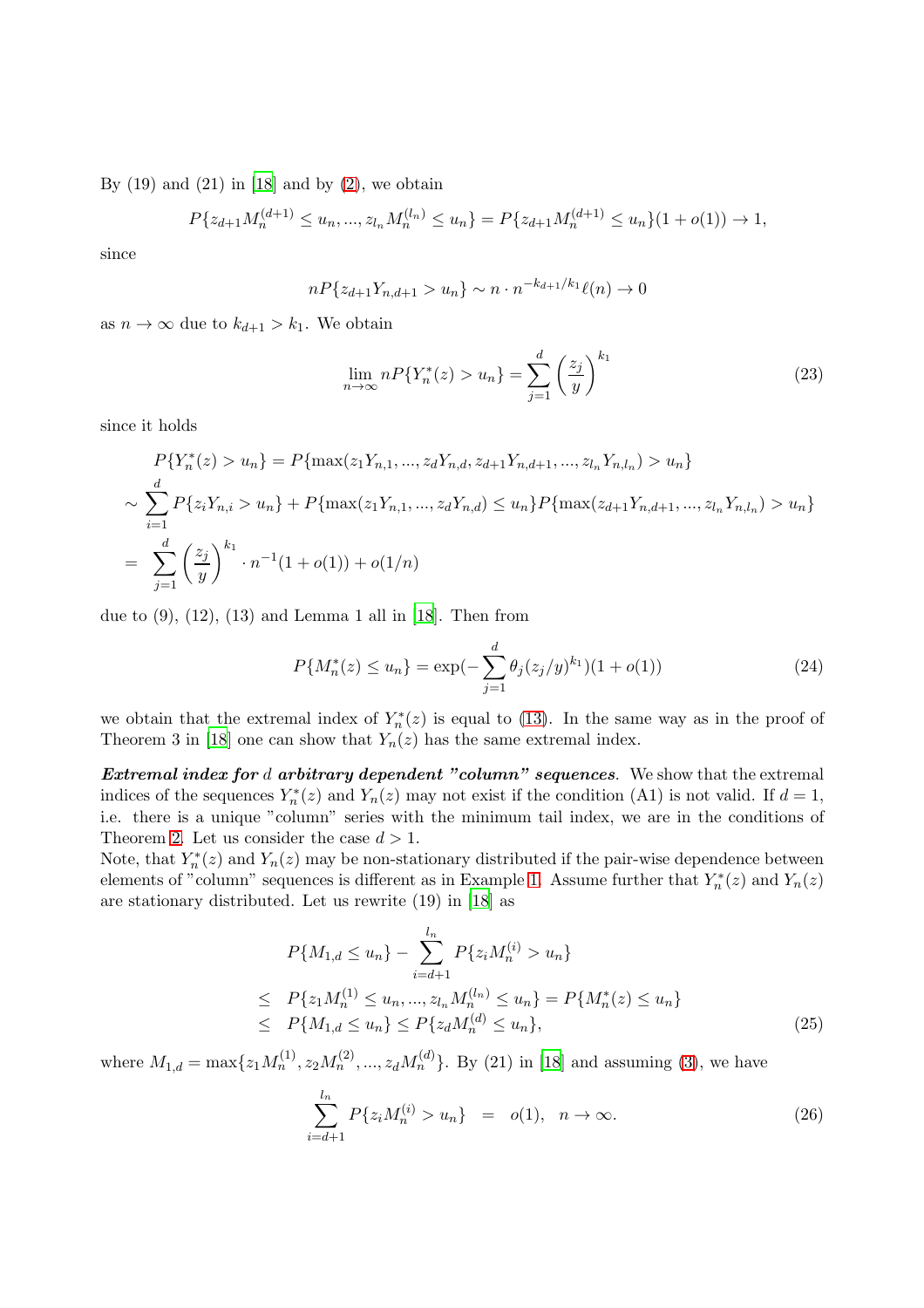By  $(19)$  and  $(21)$  in [\[18](#page-12-4)] and by  $(2)$ , we obtain

$$
P\{z_{d+1}M_n^{(d+1)} \le u_n, ..., z_{l_n}M_n^{(l_n)} \le u_n\} = P\{z_{d+1}M_n^{(d+1)} \le u_n\}(1+o(1)) \to 1,
$$

since

$$
nP\{z_{d+1}Y_{n,d+1} > u_n\} \sim n \cdot n^{-k_{d+1}/k_1} \ell(n) \to 0
$$

as  $n \to \infty$  due to  $k_{d+1} > k_1$ . We obtain

<span id="page-9-2"></span>
$$
\lim_{n \to \infty} n P\{Y_n^*(z) > u_n\} = \sum_{j=1}^d \left(\frac{z_j}{y}\right)^{k_1} \tag{23}
$$

since it holds

$$
P\{Y_n^*(z) > u_n\} = P\{\max(z_1Y_{n,1}, ..., z_dY_{n,d}, z_{d+1}Y_{n,d+1}, ..., z_{l_n}Y_{n,l_n}) > u_n\}
$$
  
\n
$$
\sim \sum_{i=1}^d P\{z_iY_{n,i} > u_n\} + P\{\max(z_1Y_{n,1}, ..., z_dY_{n,d}) \le u_n\} P\{\max(z_{d+1}Y_{n,d+1}, ..., z_{l_n}Y_{n,l_n}) > u_n\}
$$
  
\n
$$
= \sum_{j=1}^d \left(\frac{z_j}{y}\right)^{k_1} \cdot n^{-1}(1+o(1)) + o(1/n)
$$

due to  $(9)$ ,  $(12)$ ,  $(13)$  and Lemma 1 all in [\[18](#page-12-4)]. Then from

<span id="page-9-3"></span>
$$
P\{M_n^*(z) \le u_n\} = \exp(-\sum_{j=1}^d \theta_j (z_j/y)^{k_1})(1 + o(1))
$$
\n(24)

we obtain that the extremal index of  $Y_n^*(z)$  is equal to [\(13\)](#page-3-3). In the same way as in the proof of Theorem 3 in [\[18](#page-12-4)] one can show that  $Y_n(z)$  has the same extremal index.

Extremal index for  $d$  arbitrary dependent "column" sequences. We show that the extremal indices of the sequences  $Y_n^*(z)$  and  $Y_n(z)$  may not exist if the condition (A1) is not valid. If  $d=1$ , i.e. there is a unique "column" series with the minimum tail index, we are in the conditions of Theorem [2.](#page-1-5) Let us consider the case  $d > 1$ .

Note, that  $Y_n^*(z)$  and  $Y_n(z)$  may be non-stationary distributed if the pair-wise dependence between elements of "column" sequences is different as in Example [1.](#page-4-3) Assume further that  $Y_n^*(z)$  and  $Y_n(z)$ are stationary distributed. Let us rewrite (19) in [\[18](#page-12-4)] as

<span id="page-9-0"></span>
$$
P\{M_{1,d} \le u_n\} - \sum_{i=d+1}^{l_n} P\{z_i M_n^{(i)} > u_n\}
$$
  
\n
$$
\le P\{z_1 M_n^{(1)} \le u_n, ..., z_{l_n} M_n^{(l_n)} \le u_n\} = P\{M_n^*(z) \le u_n\}
$$
  
\n
$$
\le P\{M_{1,d} \le u_n\} \le P\{z_d M_n^{(d)} \le u_n\},
$$
\n(25)

where  $M_{1,d} = \max\{z_1 M_n^{(1)}, z_2 M_n^{(2)}, ..., z_d M_n^{(d)}\}$ . By (21) in [\[18](#page-12-4)] and assuming [\(3\)](#page-1-1), we have

<span id="page-9-1"></span>
$$
\sum_{i=d+1}^{l_n} P\{z_i M_n^{(i)} > u_n\} = o(1), \quad n \to \infty.
$$
 (26)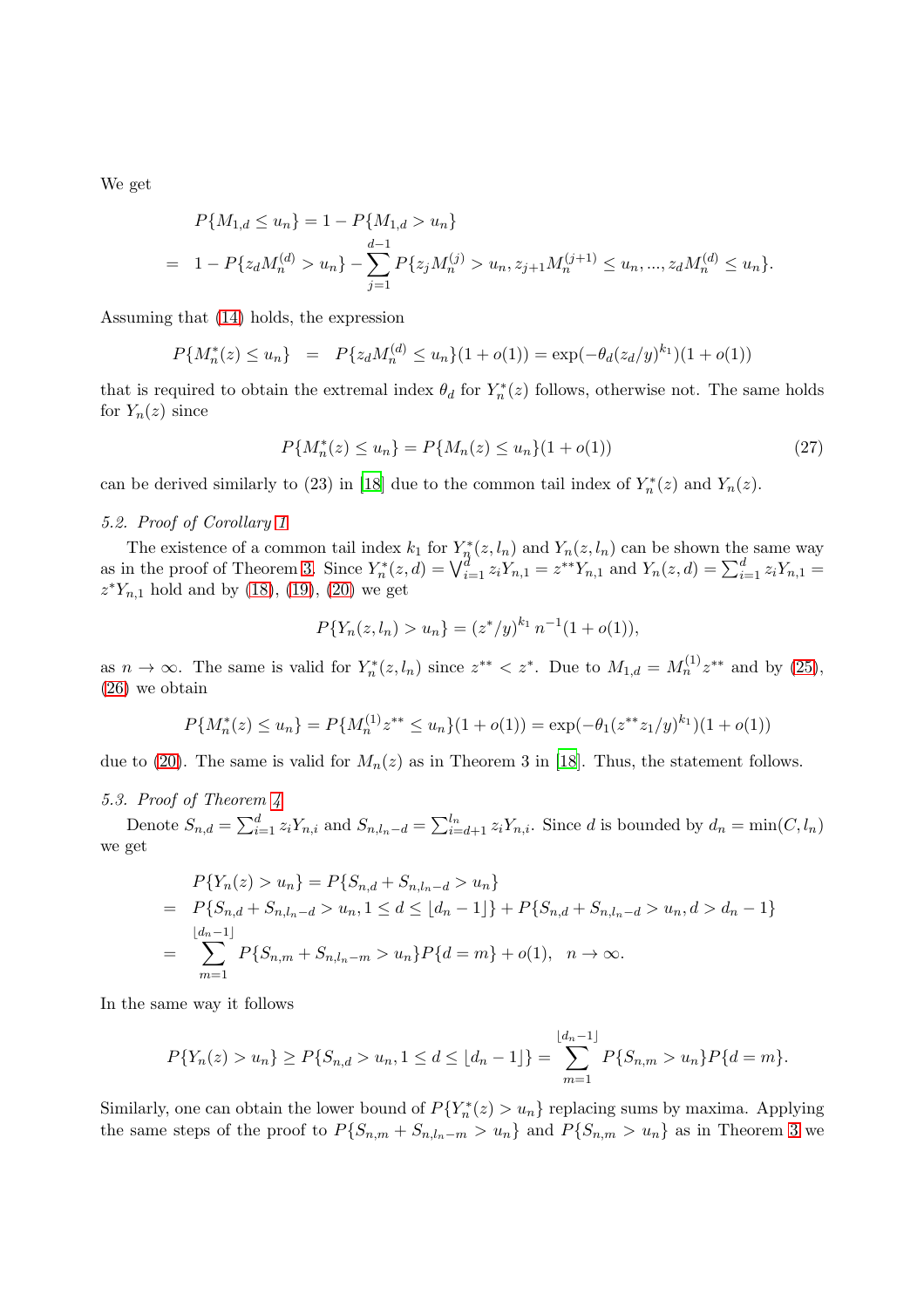We get

$$
P{M_{1,d} \le u_n} = 1 - P{M_{1,d} > u_n}
$$
  
= 1 - P{z<sub>d</sub>M<sub>n</sub><sup>(d)</sup> > u<sub>n</sub>} -  $\sum_{j=1}^{d-1} P{z_jM_n^{(j)}} > u_n, z_{j+1}M_n^{(j+1)} \le u_n, ..., z_dM_n^{(d)} \le u_n$ .

Assuming that [\(14\)](#page-3-2) holds, the expression

$$
P\{M_n^*(z) \le u_n\} = P\{z_d M_n^{(d)} \le u_n\}(1 + o(1)) = \exp(-\theta_d(z_d/y)^{k_1})(1 + o(1))
$$

that is required to obtain the extremal index  $\theta_d$  for  $Y_n^*(z)$  follows, otherwise not. The same holds for  $Y_n(z)$  since

<span id="page-10-0"></span>
$$
P\{M_n^*(z) \le u_n\} = P\{M_n(z) \le u_n\}(1 + o(1))\tag{27}
$$

can be derived similarly to (23) in [\[18](#page-12-4)] due to the common tail index of  $Y_n^*(z)$  and  $Y_n(z)$ .

# 5.2. Proof of Corollary [1](#page-3-4)

The existence of a common tail index  $k_1$  for  $Y_n^*(z, l_n)$  and  $Y_n(z, l_n)$  can be shown the same way as in the proof of Theorem [3.](#page-3-0) Since  $Y_n^*(z, d) = \bigvee_{i=1}^d z_i Y_{n,1} = z^{**} Y_{n,1}$  and  $Y_n(z, d) = \sum_{i=1}^d z_i Y_{n,1} = z^{**} Y_{n,1}$  $z^*Y_{n,1}$  hold and by [\(18\)](#page-7-2), [\(19\)](#page-7-3), [\(20\)](#page-8-0) we get

$$
P\{Y_n(z, l_n) > u_n\} = (z^*/y)^{k_1} n^{-1} (1 + o(1)),
$$

as  $n \to \infty$ . The same is valid for  $Y_n^*(z, l_n)$  since  $z^{**} < z^*$ . Due to  $M_{1,d} = M_n^{(1)} z^{**}$  and by [\(25\)](#page-9-0), [\(26\)](#page-9-1) we obtain

$$
P\{M_n^*(z) \le u_n\} = P\{M_n^{(1)}z^{**} \le u_n\}(1+o(1)) = \exp(-\theta_1(z^{**}z_1/y)^{k_1})(1+o(1))
$$

due to [\(20\)](#page-8-0). The same is valid for  $M_n(z)$  as in Theorem 3 in [\[18](#page-12-4)]. Thus, the statement follows.

# 5.3. Proof of Theorem [4](#page-4-0)

Denote  $S_{n,d} = \sum_{i=1}^d z_i Y_{n,i}$  and  $S_{n,l_n-d} = \sum_{i=d+1}^{l_n} z_i Y_{n,i}$ . Since d is bounded by  $d_n = \min(C, l_n)$ we get

$$
P\{Y_n(z) > u_n\} = P\{S_{n,d} + S_{n,l_n-d} > u_n\}
$$
  
=  $P\{S_{n,d} + S_{n,l_n-d} > u_n, 1 \le d \le \lfloor d_n - 1 \rfloor\} + P\{S_{n,d} + S_{n,l_n-d} > u_n, d > d_n - 1\}$   
=  $\sum_{m=1}^{\lfloor d_n - 1 \rfloor} P\{S_{n,m} + S_{n,l_n-m} > u_n\} P\{d = m\} + o(1), \quad n \to \infty.$ 

In the same way it follows

$$
P\{Y_n(z) > u_n\} \ge P\{S_{n,d} > u_n, 1 \le d \le \lfloor d_n - 1 \rfloor\} = \sum_{m=1}^{\lfloor d_n - 1 \rfloor} P\{S_{n,m} > u_n\} P\{d = m\}.
$$

Similarly, one can obtain the lower bound of  $P(Y_n^*(z) > u_n)$  replacing sums by maxima. Applying the same steps of the proof to  $P\{S_{n,m} + S_{n,l_n-m} > u_n\}$  and  $P\{S_{n,m} > u_n\}$  as in Theorem [3](#page-3-0) we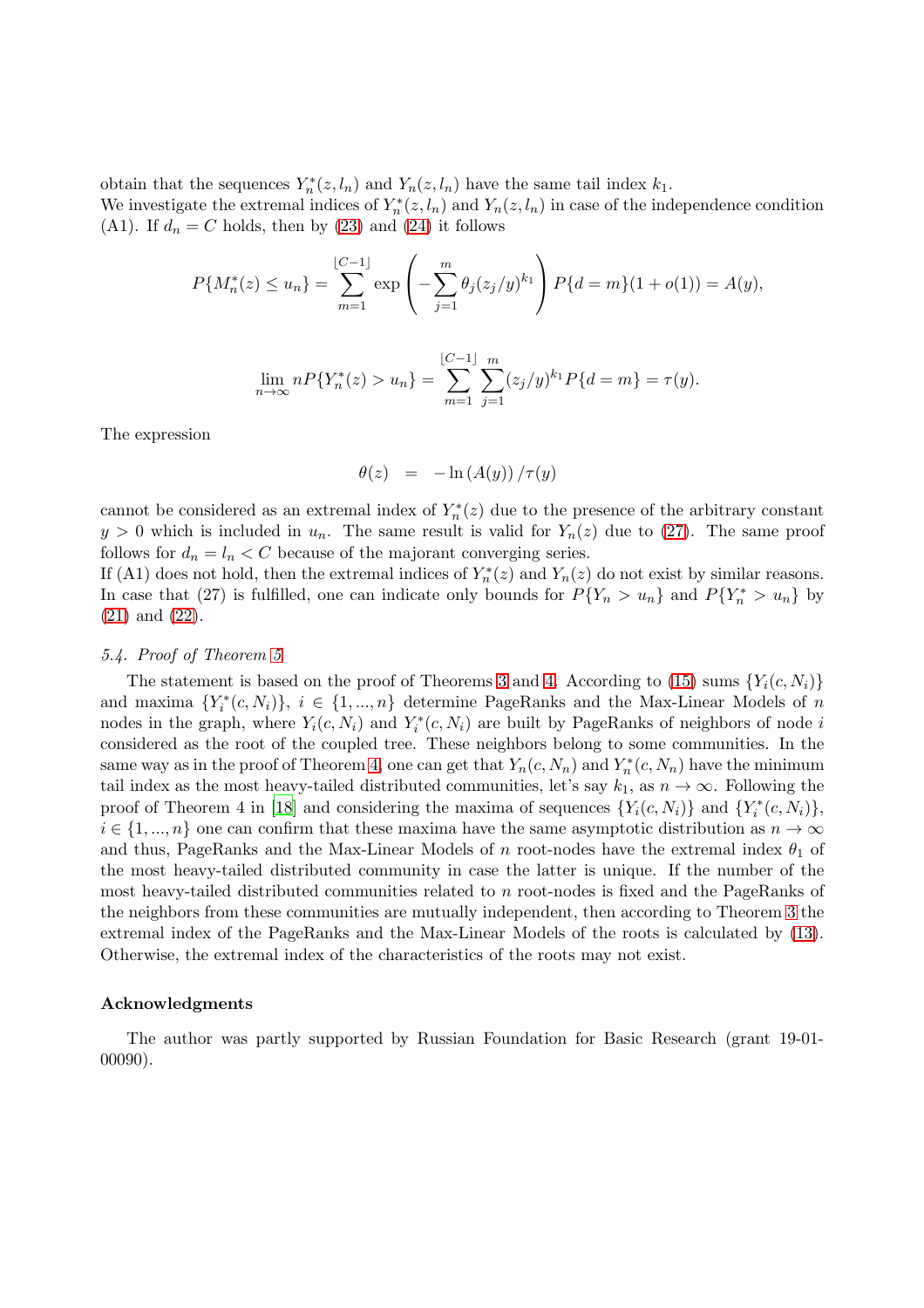obtain that the sequences  $Y_n^*(z, l_n)$  and  $Y_n(z, l_n)$  have the same tail index  $k_1$ .

We investigate the extremal indices of  $Y_n^*(z, l_n)$  and  $Y_n(z, l_n)$  in case of the independence condition (A1). If  $d_n = C$  holds, then by [\(23\)](#page-9-2) and [\(24\)](#page-9-3) it follows

$$
P\{M_n^*(z) \le u_n\} = \sum_{m=1}^{\lfloor C-1 \rfloor} \exp\left(-\sum_{j=1}^m \theta_j (z_j/y)^{k_1}\right) P\{d = m\}(1+o(1)) = A(y),
$$

$$
\lim_{n \to \infty} n P\{Y_n^*(z) > u_n\} = \sum_{m=1}^{\lfloor C-1 \rfloor} \sum_{j=1}^m (z_j/y)^{k_1} P\{d = m\} = \tau(y).
$$

The expression

$$
\theta(z) = -\ln\left(A(y)\right)/\tau(y)
$$

cannot be considered as an extremal index of  $Y_n^*(z)$  due to the presence of the arbitrary constant  $y > 0$  which is included in  $u_n$ . The same result is valid for  $Y_n(z)$  due to [\(27\)](#page-10-0). The same proof follows for  $d_n = l_n < C$  because of the majorant converging series.

If (A1) does not hold, then the extremal indices of  $Y_n^*(z)$  and  $Y_n(z)$  do not exist by similar reasons. In case that (27) is fulfilled, one can indicate only bounds for  $P\{Y_n > u_n\}$  and  $P\{Y_n^* > u_n\}$  by [\(21\)](#page-8-1) and [\(22\)](#page-8-2).

# 5.4. Proof of Theorem [5](#page-6-0)

The statement is based on the proof of Theorems [3](#page-3-0) and [4.](#page-4-0) According to [\(15\)](#page-5-2) sums  ${Y_i(c, N_i)}$ and maxima  $\{Y_i^*(c, N_i)\}, i \in \{1, ..., n\}$  determine PageRanks and the Max-Linear Models of n nodes in the graph, where  $Y_i(c, N_i)$  and  $Y_i^*(c, N_i)$  are built by PageRanks of neighbors of node i considered as the root of the coupled tree. These neighbors belong to some communities. In the same way as in the proof of Theorem [4,](#page-4-0) one can get that  $Y_n(c, N_n)$  and  $Y_n^*(c, N_n)$  have the minimum tail index as the most heavy-tailed distributed communities, let's say  $k_1$ , as  $n \to \infty$ . Following the proof of Theorem 4 in [\[18](#page-12-4)] and considering the maxima of sequences  $\{Y_i(c, N_i)\}\$  and  $\{Y_i^*(c, N_i)\}\$ ,  $i \in \{1, ..., n\}$  one can confirm that these maxima have the same asymptotic distribution as  $n \to \infty$ and thus, PageRanks and the Max-Linear Models of n root-nodes have the extremal index  $\theta_1$  of the most heavy-tailed distributed community in case the latter is unique. If the number of the most heavy-tailed distributed communities related to n root-nodes is fixed and the PageRanks of the neighbors from these communities are mutually independent, then according to Theorem [3](#page-3-0) the extremal index of the PageRanks and the Max-Linear Models of the roots is calculated by [\(13\)](#page-3-3). Otherwise, the extremal index of the characteristics of the roots may not exist.

### Acknowledgments

The author was partly supported by Russian Foundation for Basic Research (grant 19-01- 00090).